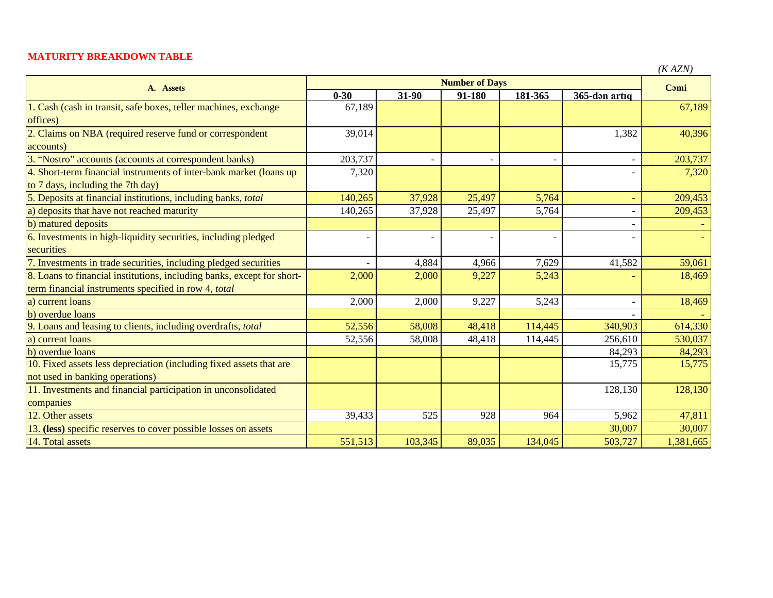## **MATURITY BREAKDOWN TABLE**

| ' \ | N<br>$\mathcal{L}$ |
|-----|--------------------|
|-----|--------------------|

| A. Assets                                                              | <b>Number of Days</b> |                |        |         |                              | $($ A $ALIV$ |
|------------------------------------------------------------------------|-----------------------|----------------|--------|---------|------------------------------|--------------|
|                                                                        | $0 - 30$              | 31-90          | 91-180 | 181-365 | 365-dən artıq                | Cami         |
| 1. Cash (cash in transit, safe boxes, teller machines, exchange        | 67,189                |                |        |         |                              | 67,189       |
| offices)                                                               |                       |                |        |         |                              |              |
| 2. Claims on NBA (required reserve fund or correspondent               | 39,014                |                |        |         | 1,382                        | 40,396       |
| accounts)                                                              |                       |                |        |         |                              |              |
| 3. "Nostro" accounts (accounts at correspondent banks)                 | 203,737               |                |        |         |                              | 203,737      |
| 4. Short-term financial instruments of inter-bank market (loans up     | 7,320                 |                |        |         |                              | 7,320        |
| to 7 days, including the 7th day)                                      |                       |                |        |         |                              |              |
| 5. Deposits at financial institutions, including banks, total          | 140,265               | 37,928         | 25,497 | 5,764   | $\equiv$                     | 209,453      |
| a) deposits that have not reached maturity                             | 140,265               | 37,928         | 25,497 | 5,764   | $\overline{\phantom{a}}$     | 209,453      |
| b) matured deposits                                                    |                       |                |        |         | $\qquad \qquad \blacksquare$ |              |
| 6. Investments in high-liquidity securities, including pledged         |                       | $\overline{a}$ |        |         |                              |              |
| securities                                                             |                       |                |        |         |                              |              |
| 7. Investments in trade securities, including pledged securities       |                       | 4,884          | 4,966  | 7,629   | 41,582                       | 59,061       |
| 8. Loans to financial institutions, including banks, except for short- | 2,000                 | 2,000          | 9,227  | 5,243   |                              | 18,469       |
| term financial instruments specified in row 4, total                   |                       |                |        |         |                              |              |
| a) current loans                                                       | 2,000                 | 2,000          | 9,227  | 5,243   |                              | 18,469       |
| b) overdue loans                                                       |                       |                |        |         |                              |              |
| 9. Loans and leasing to clients, including overdrafts, total           | 52,556                | 58,008         | 48,418 | 114,445 | 340,903                      | 614,330      |
| a) current loans                                                       | 52,556                | 58,008         | 48,418 | 114,445 | 256,610                      | 530,037      |
| b) overdue loans                                                       |                       |                |        |         | 84,293                       | 84,293       |
| 10. Fixed assets less depreciation (including fixed assets that are    |                       |                |        |         | 15,775                       | 15,775       |
| not used in banking operations)                                        |                       |                |        |         |                              |              |
| 11. Investments and financial participation in unconsolidated          |                       |                |        |         | 128,130                      | 128,130      |
| companies                                                              |                       |                |        |         |                              |              |
| 12. Other assets                                                       | 39,433                | 525            | 928    | 964     | 5,962                        | 47,811       |
| 13. (less) specific reserves to cover possible losses on assets        |                       |                |        |         | 30,007                       | 30,007       |
| 14. Total assets                                                       | 551,513               | 103,345        | 89,035 | 134,045 | 503,727                      | 1,381,665    |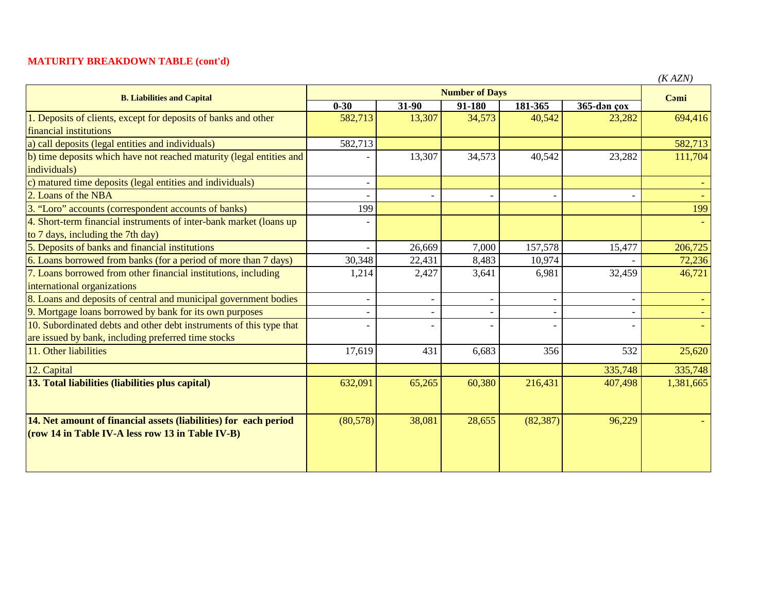## **MATURITY BREAKDOWN TABLE (cont'd)**

| <b>B. Liabilities and Capital</b>                                    | <b>Number of Days</b> |                          |            |           |             | (IVALIV)<br>Cami |
|----------------------------------------------------------------------|-----------------------|--------------------------|------------|-----------|-------------|------------------|
|                                                                      | $0 - 30$              | 31-90                    | $91 - 180$ | 181-365   | 365-dən çox |                  |
| 1. Deposits of clients, except for deposits of banks and other       | 582,713               | 13,307                   | 34,573     | 40,542    | 23,282      | 694,416          |
| financial institutions                                               |                       |                          |            |           |             |                  |
| a) call deposits (legal entities and individuals)                    | 582,713               |                          |            |           |             | 582,713          |
| b) time deposits which have not reached maturity (legal entities and |                       | 13,307                   | 34,573     | 40,542    | 23,282      | 111,704          |
| individuals)                                                         |                       |                          |            |           |             |                  |
| c) matured time deposits (legal entities and individuals)            |                       |                          |            |           |             |                  |
| 2. Loans of the NBA                                                  |                       |                          |            |           |             |                  |
| 3. "Loro" accounts (correspondent accounts of banks)                 | 199                   |                          |            |           |             | 199              |
| 4. Short-term financial instruments of inter-bank market (loans up)  |                       |                          |            |           |             |                  |
| to 7 days, including the 7th day)                                    |                       |                          |            |           |             |                  |
| 5. Deposits of banks and financial institutions                      |                       | 26,669                   | 7,000      | 157,578   | 15,477      | 206,725          |
| 6. Loans borrowed from banks (for a period of more than 7 days)      | 30,348                | 22,431                   | 8,483      | 10,974    |             | 72,236           |
| 7. Loans borrowed from other financial institutions, including       | 1,214                 | 2,427                    | 3,641      | 6,981     | 32,459      | 46,721           |
| international organizations                                          |                       |                          |            |           |             |                  |
| 8. Loans and deposits of central and municipal government bodies     |                       | $\overline{\phantom{a}}$ |            |           |             |                  |
| 9. Mortgage loans borrowed by bank for its own purposes              |                       |                          |            |           |             |                  |
| 10. Subordinated debts and other debt instruments of this type that  |                       |                          |            |           |             |                  |
| are issued by bank, including preferred time stocks                  |                       |                          |            |           |             |                  |
| 11. Other liabilities                                                | 17,619                | 431                      | 6,683      | 356       | 532         | 25,620           |
| 12. Capital                                                          |                       |                          |            |           | 335,748     | 335,748          |
| 13. Total liabilities (liabilities plus capital)                     | 632,091               | 65,265                   | 60,380     | 216,431   | 407,498     | 1,381,665        |
|                                                                      |                       |                          |            |           |             |                  |
| 14. Net amount of financial assets (liabilities) for each period     | (80, 578)             | 38,081                   | 28,655     | (82, 387) | 96,229      |                  |
| (row 14 in Table IV-A less row 13 in Table IV-B)                     |                       |                          |            |           |             |                  |
|                                                                      |                       |                          |            |           |             |                  |
|                                                                      |                       |                          |            |           |             |                  |
|                                                                      |                       |                          |            |           |             |                  |

*(K AZN)*